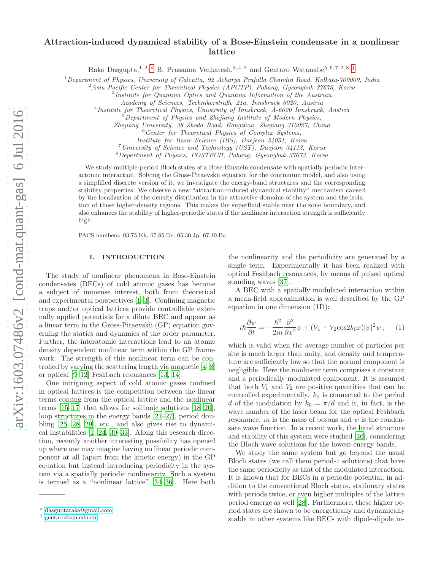# Attraction-induced dynamical stability of a Bose-Einstein condensate in a nonlinear lattice

Raka Dasgupta,<sup>1, 2, [∗](#page-0-0)</sup> B. Prasanna Venkatesh,<sup>3, 4, 2</sup> and Gentaro Watanabe<sup>5, 6, 7, 2, 8, [†](#page-0-1)</sup>

<sup>1</sup>*Department of Physics, University of Calcutta, 92 Acharya Prafulla Chandra Road, Kolkata-700009, India*

<sup>2</sup>*Asia Pacific Center for Theoretical Physics (APCTP), Pohang, Gyeongbuk 37673, Korea*

3 *Institute for Quantum Optics and Quantum Information of the Austrian*

*Academy of Sciences, Technikerstraße 21a, Innsbruck 6020, Austria*

4 *Institute for Theoretical Physics, University of Innsbruck, A-6020 Innsbruck, Austria*

<sup>5</sup>*Department of Physics and Zhejiang Institute of Modern Physics,*

*Zhejiang University, 38 Zheda Road, Hangzhou, Zhejiang 310027, China*

<sup>6</sup>*Center for Theoretical Physics of Complex Systems,*

*Institute for Basic Science (IBS), Daejeon 34051, Korea*

<sup>7</sup>*University of Science and Technology (UST), Daejeon 34113, Korea*

<sup>8</sup>*Department of Physics, POSTECH, Pohang, Gyeongbuk 37673, Korea*

We study multiple-period Bloch states of a Bose-Einstein condensate with spatially periodic interactomic interaction. Solving the Gross-Pitaevskii equation for the continuum model, and also using a simplified discrete version of it, we investigate the energy-band structures and the corresponding stability properties. We observe a new "attraction-induced dynamical stability" mechanism caused by the localization of the density distribution in the attractive domains of the system and the isolation of these higher-density regions. This makes the superfluid stable near the zone boundary, and also enhances the stability of higher-periodic states if the nonlinear interaction strength is sufficiently high.

PACS numbers: 03.75.Kk, 67.85.De, 05.30.Jp, 67.10.Ba

## I. INTRODUCTION

The study of nonlinear phenomena in Bose-Einstein condensates (BECs) of cold atomic gases has become a subject of immense interest, both from theoretical and experimental perspectives [\[1](#page-9-0)[–3](#page-9-1)]. Confining magnetic traps and/or optical lattices provide controllable externally applied potentials for a dilute BEC and appear as a linear term in the Gross-Pitaevskii (GP) equation governing the statics and dynamics of the order parameter. Further, the interatomic interactions lead to an atomic density dependent nonlinear term within the GP framework. The strength of this nonlinear term can be controlled by varying the scattering length via magnetic [\[4](#page-9-2)[–8](#page-9-3)] or optical [\[9](#page-9-4)[–12\]](#page-10-0) Feshbach resonances [\[13,](#page-10-1) [14\]](#page-10-2).

One intriguing aspect of cold atomic gases confined in optical lattices is the competition between the linear terms coming from the optical lattice and the nonlinear terms [\[15](#page-10-3)[–17\]](#page-10-4) that allows for solitonic solutions [\[18](#page-10-5)[–20\]](#page-10-6), loop structures in the energy bands [\[21](#page-10-7)[–27\]](#page-10-8), period doubling [\[25,](#page-10-9) [28,](#page-10-10) [29](#page-10-11)], etc., and also gives rise to dynamical instabilities [\[1,](#page-9-0) [24,](#page-10-12) [30](#page-10-13)[–33\]](#page-10-14). Along this research direction, recently another interesting possibility has opened up where one may imagine having no linear periodic component at all (apart from the kinetic energy) in the GP equation but instead introducing periodicity in the system via a spatially periodic nonlinearity. Such a system is termed as a "nonlinear lattice" [\[34](#page-10-15)[–36\]](#page-10-16). Here both

the nonlinearity and the periodicity are generated by a single term. Experimentally it has been realized with optical Feshbach resonances, by means of pulsed optical standing waves [\[37\]](#page-10-17).

A BEC with a spatially modulated interaction within a mean-field approximation is well described by the GP equation in one dimension (1D):

<span id="page-0-2"></span>
$$
i\hbar \frac{\partial \psi}{\partial t} = -\frac{\hbar^2}{2m} \frac{\partial^2}{\partial x^2} \psi + (V_1 + V_2 \cos 2k_0 x) |\psi|^2 \psi , \quad (1)
$$

which is valid when the average number of particles per site is much larger than unity, and density and temperature are sufficiently low so that the normal component is negligible. Here the nonlinear term comprises a constant and a periodically modulated component. It is assumed that both  $V_1$  and  $V_2$  are positive quantities that can be controlled experimentally.  $k_0$  is connected to the period d of the modulation by  $k_0 = \pi/d$  and it, in fact, is the wave number of the laser beam for the optical Feshbach resonance. m is the mass of bosons and  $\psi$  is the condensate wave function. In a recent work, the band structure and stability of this system were studied [\[36\]](#page-10-16), considering the Bloch wave solutions for the lowest-energy bands.

We study the same system but go beyond the usual Bloch states (we call them period-1 solutions) that have the same periodicity as that of the modulated interaction. It is known that for BECs in a periodic potential, in addition to the conventional Bloch states, stationary states with periods twice, or even higher multiples of the lattice period emerge as well [\[28](#page-10-10)]. Furthermore, these higher period states are shown to be energetically and dynamically stable in other systems like BECs with dipole-dipole in-

<span id="page-0-0"></span><sup>∗</sup> [dasguptaraka@gmail.com](mailto:dasguptaraka@gmail.com)

<span id="page-0-1"></span><sup>†</sup> [gentaro@zju.edu.cn](mailto:gentaro@zju.edu.cn)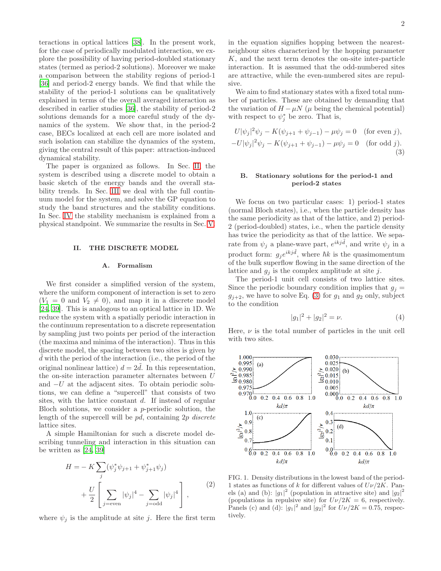teractions in optical lattices [\[38](#page-10-18)]. In the present work, for the case of periodically modulated interaction, we explore the possibility of having period-doubled stationary states (termed as period-2 solutions). Moreover we make a comparison between the stability regions of period-1 [\[36\]](#page-10-16) and period-2 energy bands. We find that while the stability of the period-1 solutions can be qualitatively explained in terms of the overall averaged interaction as described in earlier studies [\[36\]](#page-10-16), the stability of period-2 solutions demands for a more careful study of the dynamics of the system. We show that, in the period-2 case, BECs localized at each cell are more isolated and such isolation can stabilize the dynamics of the system, giving the central result of this paper: attraction-induced dynamical stability.

The paper is organized as follows. In Sec. [II,](#page-1-0) the system is described using a discrete model to obtain a basic sketch of the energy bands and the overall stability trends. In Sec. [III](#page-5-0) we deal with the full continuum model for the system, and solve the GP equation to study the band structures and the stability conditions. In Sec. [IV](#page-6-0) the stability mechanism is explained from a physical standpoint. We summarize the results in Sec. [V.](#page-9-5)

### <span id="page-1-0"></span>II. THE DISCRETE MODEL

### A. Formalism

We first consider a simplified version of the system, where the uniform component of interaction is set to zero  $(V_1 = 0$  and  $V_2 \neq 0)$ , and map it in a discrete model [\[24,](#page-10-12) [39](#page-10-19)]. This is analogous to an optical lattice in 1D. We reduce the system with a spatially periodic interaction in the continuum representation to a discrete representation by sampling just two points per period of the interaction (the maxima and minima of the interaction). Thus in this discrete model, the spacing between two sites is given by  $d$  with the period of the interaction (i.e., the period of the original nonlinear lattice)  $d = 2d$ . In this representation, the on-site interaction parameter alternates between U and  $-U$  at the adjacent sites. To obtain periodic solutions, we can define a "supercell" that consists of two sites, with the lattice constant d. If instead of regular Bloch solutions, we consider a p-periodic solution, the length of the supercell will be pd, containing 2p discrete lattice sites.

A simple Hamiltonian for such a discrete model describing tunneling and interaction in this situation can be written as [\[24,](#page-10-12) [39\]](#page-10-19)

$$
H = -K \sum_{j} (\psi_{j}^{*} \psi_{j+1} + \psi_{j+1}^{*} \psi_{j}) + \frac{U}{2} \left[ \sum_{j=\text{even}} |\psi_{j}|^{4} - \sum_{j=\text{odd}} |\psi_{j}|^{4} \right],
$$
 (2)

<span id="page-1-3"></span>where  $\psi_j$  is the amplitude at site j. Here the first term

in the equation signifies hopping between the nearestneighbour sites characterized by the hopping parameter K, and the next term denotes the on-site inter-particle interaction. It is assumed that the odd-numbered sites are attractive, while the even-numbered sites are repulsive.

We aim to find stationary states with a fixed total number of particles. These are obtained by demanding that the variation of  $H - \mu N$  ( $\mu$  being the chemical potential) with respect to  $\psi_j^*$  be zero. That is,

<span id="page-1-1"></span>
$$
U|\psi_j|^2 \psi_j - K(\psi_{j+1} + \psi_{j-1}) - \mu \psi_j = 0 \quad \text{(for even } j),
$$
  

$$
-U|\psi_j|^2 \psi_j - K(\psi_{j+1} + \psi_{j-1}) - \mu \psi_j = 0 \quad \text{(for odd } j).
$$
  
(3)

## B. Stationary solutions for the period-1 and period-2 states

We focus on two particular cases: 1) period-1 states (normal Bloch states), i.e., when the particle density has the same periodicity as that of the lattice, and 2) period-2 (period-doubled) states, i.e., when the particle density has twice the periodicity as that of the lattice. We separate from  $\psi_j$  a plane-wave part,  $e^{ikj\tilde{d}}$ , and write  $\psi_j$  in a product form:  $g_j e^{ikj\tilde{d}}$ , where  $\hbar k$  is the quasimomentum of the bulk superflow flowing in the same direction of the lattice and  $g_i$  is the complex amplitude at site j.

The period-1 unit cell consists of two lattice sites. Since the periodic boundary condition implies that  $g_i =$  $g_{j+2}$ , we have to solve Eq. [\(3\)](#page-1-1) for  $g_1$  and  $g_2$  only, subject to the condition

$$
|g_1|^2 + |g_2|^2 = \nu.
$$
 (4)

Here,  $\nu$  is the total number of particles in the unit cell with two sites.



<span id="page-1-2"></span>FIG. 1. Density distributions in the lowest band of the period-1 states as functions of k for different values of  $U\nu/2K$ . Panels (a) and (b):  $|g_1|^2$  (population in attractive site) and  $|g_2|^2$ (populations in repulsive site) for  $U\nu/2K = 6$ , respectively. Panels (c) and (d):  $|g_1|^2$  and  $|g_2|^2$  for  $U\nu/2K = 0.75$ , respectively.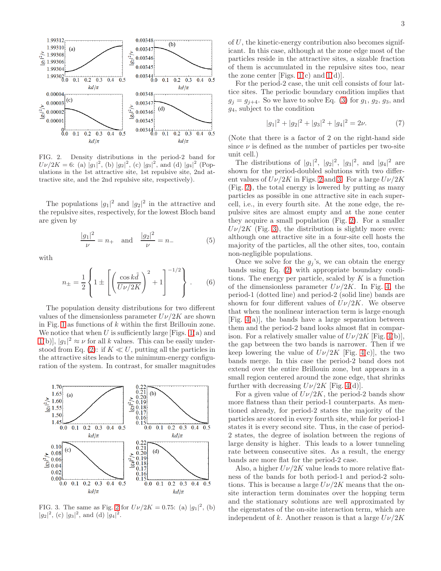

<span id="page-2-0"></span>FIG. 2. Density distributions in the period-2 band for  $U\nu/2K = 6$ : (a)  $|g_1|^2$ , (b)  $|g_2|^2$ , (c)  $|g_3|^2$ , and (d)  $|g_4|^2$  (Populations in the 1st attractive site, 1st repulsive site, 2nd attractive site, and the 2nd repulsive site, respectively).

The populations  $|g_1|^2$  and  $|g_2|^2$  in the attractive and the repulsive sites, respectively, for the lowest Bloch band are given by

$$
\frac{|g_1|^2}{\nu} = n_+ \quad \text{and} \quad \frac{|g_2|^2}{\nu} = n_- \tag{5}
$$

with

$$
n_{\pm} = \frac{1}{2} \left\{ 1 \pm \left[ \left( \frac{\cos k \tilde{d}}{U \nu / 2K} \right)^2 + 1 \right]^{-1/2} \right\} .
$$
 (6)

The population density distributions for two different values of the dimensionless parameter  $U\nu/2K$  are shown in Fig. [1](#page-1-2) as functions of  $k$  within the first Brillouin zone. We notice that when  $U$  is sufficiently large [Figs. [1\(](#page-1-2)a) and [1\(](#page-1-2)b)],  $|g_1|^2 \approx \nu$  for all k values. This can be easily under-stood from Eq. [\(2\)](#page-1-3): if  $K \ll U$ , putting all the particles in the attractive sites leads to the minimum-energy configuration of the system. In contrast, for smaller magnitudes



<span id="page-2-1"></span>FIG. 3. The same as Fig. [2](#page-2-0) for  $U\nu/2K = 0.75$ : (a)  $|g_1|^2$ , (b)  $|g_2|^2$ , (c)  $|g_3|^2$ , and (d)  $|g_4|^2$ .

of U, the kinetic-energy contribution also becomes significant. In this case, although at the zone edge most of the particles reside in the attractive sites, a sizable fraction of them is accumulated in the repulsive sites too, near the zone center [Figs.  $1(c)$  and  $1(d)$ ].

For the period-2 case, the unit cell consists of four lattice sites. The periodic boundary condition implies that  $g_j = g_{j+4}$ . So we have to solve Eq. [\(3\)](#page-1-1) for  $g_1, g_2, g_3$ , and g4, subject to the condition

$$
|g_1|^2 + |g_2|^2 + |g_3|^2 + |g_4|^2 = 2\nu.
$$
 (7)

(Note that there is a factor of 2 on the right-hand side since  $\nu$  is defined as the number of particles per two-site unit cell.)

The distributions of  $|g_1|^2$ ,  $|g_2|^2$ ,  $|g_3|^2$ , and  $|g_4|^2$  are shown for the period-doubled solutions with two different values of  $U\nu/2K$  in Figs. [2](#page-2-0) and [3.](#page-2-1) For a large  $U\nu/2K$ (Fig. [2\)](#page-2-0), the total energy is lowered by putting as many particles as possible in one attractive site in each supercell, i.e., in every fourth site. At the zone edge, the repulsive sites are almost empty and at the zone center they acquire a small population (Fig. [2\)](#page-2-0). For a smaller  $U\nu/2K$  (Fig. [3\)](#page-2-1), the distribution is slightly more even: although one attractive site in a four-site cell hosts the majority of the particles, all the other sites, too, contain non-negligible populations.

Once we solve for the  $g_j$ 's, we can obtain the energy bands using Eq. [\(2\)](#page-1-3) with appropriate boundary conditions. The energy per particle, scaled by  $K$  is a function of the dimensionless parameter  $U\nu/2K$ . In Fig. [4,](#page-3-0) the period-1 (dotted line) and period-2 (solid line) bands are shown for four different values of  $U\nu/2K$ . We observe that when the nonlinear interaction term is large enough [Fig. [4\(](#page-3-0)a)], the bands have a large separation between them and the period-2 band looks almost flat in comparison. For a relatively smaller value of  $U\nu/2K$  [Fig. [4\(](#page-3-0)b)], the gap between the two bands is narrower. Then if we keep lowering the value of  $U\nu/2K$  [Fig. [4\(](#page-3-0)c)], the two bands merge. In this case the period-2 band does not extend over the entire Brillouin zone, but appears in a small region centered around the zone edge, that shrinks further with decreasing  $U\nu/2K$  [Fig. [4\(](#page-3-0)d)].

For a given value of  $U\nu/2K$ , the period-2 bands show more flatness than their period-1 counterparts. As mentioned already, for period-2 states the majority of the particles are stored in every fourth site, while for period-1 states it is every second site. Thus, in the case of period-2 states, the degree of isolation between the regions of large density is higher. This leads to a lower tunneling rate between consecutive sites. As a result, the energy bands are more flat for the period-2 case.

Also, a higher  $U\nu/2K$  value leads to more relative flatness of the bands for both period-1 and period-2 solutions. This is because a large  $U\nu/2K$  means that the onsite interaction term dominates over the hopping term and the stationary solutions are well approximated by the eigenstates of the on-site interaction term, which are independent of k. Another reason is that a large  $U\nu/2K$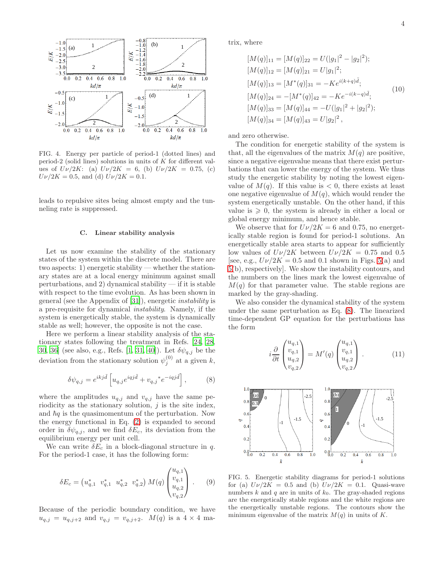

<span id="page-3-0"></span>FIG. 4. Energy per particle of period-1 (dotted lines) and period-2 (solid lines) solutions in units of K for different values of  $U\nu/2K$ : (a)  $U\nu/2K = 6$ , (b)  $U\nu/2K = 0.75$ , (c)  $U\nu/2K = 0.5$ , and (d)  $U\nu/2K = 0.1$ .

leads to repulsive sites being almost empty and the tunneling rate is suppressed.

## C. Linear stability analysis

Let us now examine the stability of the stationary states of the system within the discrete model. There are two aspects: 1) energetic stability — whether the stationary states are at a local energy minimum against small perturbations, and 2) dynamical stability  $-$  if it is stable with respect to the time evolution. As has been shown in general (see the Appendix of [\[31\]](#page-10-20)), energetic instability is a pre-requisite for dynamical instability. Namely, if the system is energetically stable, the system is dynamically stable as well; however, the opposite is not the case.

Here we perform a linear stability analysis of the stationary states following the treatment in Refs. [\[24](#page-10-12), [28](#page-10-10), [30,](#page-10-13) [36](#page-10-16)] (see also, e.g., Refs. [\[1,](#page-9-0) [31,](#page-10-20) [40\]](#page-10-21)). Let  $\delta \psi_{q,j}$  be the deviation from the stationary solution  $\psi_j^{(0)}$  at a given k,

<span id="page-3-2"></span>
$$
\delta\psi_{q,j} = e^{ikj\tilde{d}} \left[ u_{q,j} e^{iqj\tilde{d}} + v_{q,j} * e^{-iqj\tilde{d}} \right],\tag{8}
$$

where the amplitudes  $u_{q,j}$  and  $v_{q,j}$  have the same periodicity as the stationary solution,  $j$  is the site index, and  $\hbar q$  is the quasimomentum of the perturbation. Now the energy functional in Eq. [\(2\)](#page-1-3) is expanded to second order in  $\delta \psi_{q,j}$ , and we find  $\delta E_c$ , its deviation from the equilibrium energy per unit cell.

We can write  $\delta E_c$  in a block-diagonal structure in q. For the period-1 case, it has the following form:

$$
\delta E_c = \begin{pmatrix} u_{q,1}^* & v_{q,1}^* & u_{q,2}^* & v_{q,2}^* \end{pmatrix} M(q) \begin{pmatrix} u_{q,1} \\ v_{q,1} \\ u_{q,2} \\ v_{q,2} \end{pmatrix} . \tag{9}
$$

Because of the periodic boundary condition, we have  $u_{q,j} = u_{q,j+2}$  and  $v_{q,j} = v_{q,j+2}$ .  $M(q)$  is a  $4 \times 4$  matrix, where

$$
[M(q)]_{11} = [M(q)]_{22} = U(|g_1|^2 - |g_2|^2);
$$
  
\n
$$
[M(q)]_{12} = [M(q)]_{21} = U|g_1|^2;
$$
  
\n
$$
[M(q)]_{13} = [M^*(q)]_{31} = -Ke^{i(k+q)\tilde{d}};
$$
  
\n
$$
[M(q)]_{24} = -[M^*(q)]_{42} = -Ke^{-i(k-q)\tilde{d}};
$$
  
\n
$$
[M(q)]_{33} = [M(q)]_{44} = -U(|g_1|^2 + |g_2|^2);
$$
  
\n
$$
[M(q)]_{34} = [M(q)]_{43} = U|g_2|^2,
$$
\n(10)

and zero otherwise.

The condition for energetic stability of the system is that, all the eigenvalues of the matrix  $M(q)$  are positive, since a negative eigenvalue means that there exist perturbations that can lower the energy of the system. We thus study the energetic stability by noting the lowest eigenvalue of  $M(q)$ . If this value is  $< 0$ , there exists at least one negative eigenvalue of  $M(q)$ , which would render the system energetically unstable. On the other hand, if this value is  $\geqslant 0$ , the system is already in either a local or global energy minimum, and hence stable.

We observe that for  $U\nu/2K = 6$  and 0.75, no energetically stable region is found for period-1 solutions. An energetically stable area starts to appear for sufficiently low values of  $U\nu/2K$  between  $U\nu/2K = 0.75$  and 0.5 [see, e.g.,  $U\nu/2K = 0.5$  and 0.1 shown in Figs. [5\(](#page-3-1)a) and [5\(](#page-3-1)b), respectively]. We show the instability contours, and the numbers on the lines mark the lowest eigenvalue of  $M(q)$  for that parameter value. The stable regions are marked by the gray-shading.

We also consider the dynamical stability of the system under the same perturbation as Eq. [\(8\)](#page-3-2). The linearized time-dependent GP equation for the perturbations has the form

$$
i\frac{\partial}{\partial t} \begin{pmatrix} u_{q,1} \\ v_{q,1} \\ u_{q,2} \\ v_{q,2} \end{pmatrix} = M'(q) \begin{pmatrix} u_{q,1} \\ v_{q,1} \\ u_{q,2} \\ v_{q,2} \end{pmatrix} . \tag{11}
$$



<span id="page-3-1"></span>FIG. 5. Energetic stability diagrams for period-1 solutions for (a)  $U\nu/2K = 0.5$  and (b)  $U\nu/2K = 0.1$ . Quasi-wave numbers k and q are in units of  $k_0$ . The gray-shaded regions are the energetically stable regions and the white regions are the energetically unstable regions. The contours show the minimum eigenvalue of the matrix  $M(q)$  in units of K.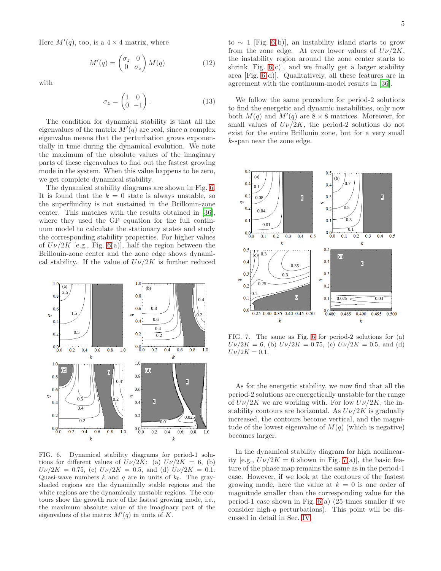Here  $M'(q)$ , too, is a  $4 \times 4$  matrix, where

$$
M'(q) = \begin{pmatrix} \sigma_z & 0\\ 0 & \sigma_z \end{pmatrix} M(q) \tag{12}
$$

with

$$
\sigma_z = \begin{pmatrix} 1 & 0 \\ 0 & -1 \end{pmatrix} . \tag{13}
$$

The condition for dynamical stability is that all the eigenvalues of the matrix  $M'(q)$  are real, since a complex eigenvalue means that the perturbation grows exponentially in time during the dynamical evolution. We note the maximum of the absolute values of the imaginary parts of these eigenvalues to find out the fastest growing mode in the system. When this value happens to be zero, we get complete dynamical stability.

The dynamical stability diagrams are shown in Fig. [6.](#page-4-0) It is found that the  $k = 0$  state is always unstable, so the superfluidity is not sustained in the Brillouin-zone center. This matches with the results obtained in [\[36\]](#page-10-16), where they used the GP equation for the full continuum model to calculate the stationary states and study the corresponding stability properties. For higher values of  $U\nu/2K$  [e.g., Fig. [6\(](#page-4-0)a)], half the region between the Brillouin-zone center and the zone edge shows dynamical stability. If the value of  $U\nu/2K$  is further reduced



<span id="page-4-0"></span>FIG. 6. Dynamical stability diagrams for period-1 solutions for different values of  $U\nu/2K$ : (a)  $U\nu/2K = 6$ , (b)  $U\nu/2K = 0.75$ , (c)  $U\nu/2K = 0.5$ , and (d)  $U\nu/2K = 0.1$ . Quasi-wave numbers k and q are in units of  $k_0$ . The grayshaded regions are the dynamically stable regions and the white regions are the dynamically unstable regions. The contours show the growth rate of the fastest growing mode, i.e., the maximum absolute value of the imaginary part of the eigenvalues of the matrix  $M'(q)$  in units of K.

to  $∼ 1$  [Fig. [6\(](#page-4-0)b)], an instability island starts to grow from the zone edge. At even lower values of  $U\nu/2K$ , the instability region around the zone center starts to shrink  $[Fig. 6(c)]$  $[Fig. 6(c)]$  $[Fig. 6(c)]$ , and we finally get a larger stability area [Fig. [6\(](#page-4-0)d)]. Qualitatively, all these features are in agreement with the continuum-model results in [\[36\]](#page-10-16).

We follow the same procedure for period-2 solutions to find the energetic and dynamic instabilities, only now both  $M(q)$  and  $M'(q)$  are  $8 \times 8$  matrices. Moreover, for small values of  $U\nu/2K$ , the period-2 solutions do not exist for the entire Brillouin zone, but for a very small k-span near the zone edge.



<span id="page-4-1"></span>FIG. 7. The same as Fig. [6](#page-4-0) for period-2 solutions for (a)  $U\nu/2K = 6$ , (b)  $U\nu/2K = 0.75$ , (c)  $U\nu/2K = 0.5$ , and (d)  $U\nu/2K = 0.1.$ 

As for the energetic stability, we now find that all the period-2 solutions are energetically unstable for the range of  $U\nu/2K$  we are working with. For low  $U\nu/2K$ , the instability contours are horizontal. As  $U\nu/2K$  is gradually increased, the contours become vertical, and the magnitude of the lowest eigenvalue of  $M(q)$  (which is negative) becomes larger.

In the dynamical stability diagram for high nonlinearity [e.g.,  $U\nu/2K = 6$  shown in Fig. [7\(](#page-4-1)a)], the basic feature of the phase map remains the same as in the period-1 case. However, if we look at the contours of the fastest growing mode, here the value at  $k = 0$  is one order of magnitude smaller than the corresponding value for the period-1 case shown in Fig.  $6(a)$  (25 times smaller if we consider high-q perturbations). This point will be discussed in detail in Sec. [IV.](#page-6-0)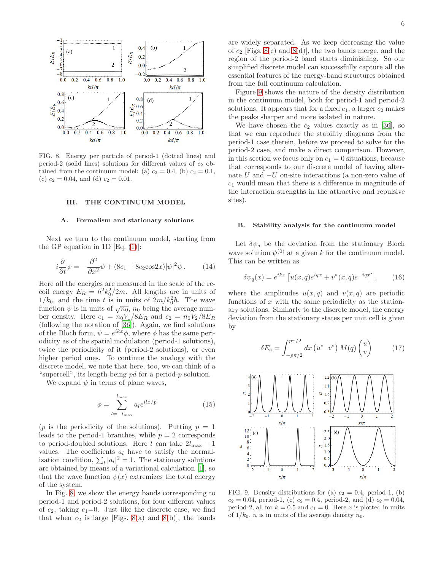

<span id="page-5-1"></span>FIG. 8. Energy per particle of period-1 (dotted lines) and period-2 (solid lines) solutions for different values of  $c_2$  obtained from the continuum model: (a)  $c_2 = 0.4$ , (b)  $c_2 = 0.1$ , (c)  $c_2 = 0.04$ , and (d)  $c_2 = 0.01$ .

## <span id="page-5-0"></span>III. THE CONTINUUM MODEL

### A. Formalism and stationary solutions

Next we turn to the continuum model, starting from the GP equation in 1D  $[Eq. (1)]$  $[Eq. (1)]$  $[Eq. (1)]$ :

$$
i\frac{\partial}{\partial t}\psi = -\frac{\partial^2}{\partial x^2}\psi + (8c_1 + 8c_2 \cos 2x)|\psi|^2 \psi.
$$
 (14)

Here all the energies are measured in the scale of the recoil energy  $E_R = \hbar^2 k_0^2 / 2m$ . All lengths are in units of  $1/k_0$ , and the time t is in units of  $2m/k_0^2\hbar$ . The wave function  $\psi$  is in units of  $\sqrt{n_0}$ ,  $n_0$  being the average number density. Here  $c_1 = n_0 V_1 / 8E_R$  and  $c_2 = n_0 V_2 / 8E_R$ (following the notation of [\[36\]](#page-10-16)). Again, we find solutions of the Bloch form,  $\psi = e^{ikx}\phi$ , where  $\phi$  has the same periodicity as of the spatial modulation (period-1 solutions), twice the periodicity of it (period-2 solutions), or even higher period ones. To continue the analogy with the discrete model, we note that here, too, we can think of a "supercell", its length being pd for a period-p solution.

We expand  $\psi$  in terms of plane waves,

$$
\phi = \sum_{l=-l_{\text{max}}}^{l_{\text{max}}} a_l e^{ilx/p} \tag{15}
$$

(p is the periodicity of the solutions). Putting  $p = 1$ leads to the period-1 branches, while  $p = 2$  corresponds to period-doubled solutions. Here l can take  $2l_{\text{max}} + 1$ values. The coefficients  $a_l$  have to satisfy the normalization condition,  $\sum_{l} |a_l|^2 = 1$ . The stationary solutions are obtained by means of a variational calculation [\[1\]](#page-9-0), so that the wave function  $\psi(x)$  extremizes the total energy of the system.

In Fig. [8,](#page-5-1) we show the energy bands corresponding to period-1 and period-2 solutions, for four different values of  $c_2$ , taking  $c_1=0$ . Just like the discrete case, we find that when  $c_2$  is large [Figs. [8\(](#page-5-1)a) and 8(b)], the bands are widely separated. As we keep decreasing the value of  $c_2$  [Figs. [8\(](#page-5-1)c) and 8(d)], the two bands merge, and the region of the period-2 band starts diminishing. So our simplified discrete model can successfully capture all the essential features of the energy-band structures obtained from the full continuum calculation.

Figure [9](#page-5-2) shows the nature of the density distribution in the continuum model, both for period-1 and period-2 solutions. It appears that for a fixed  $c_1$ , a larger  $c_2$  makes the peaks sharper and more isolated in nature.

We have chosen the  $c_2$  values exactly as in [\[36\]](#page-10-16), so that we can reproduce the stability diagrams from the period-1 case therein, before we proceed to solve for the period-2 case, and make a direct comparison. However, in this section we focus only on  $c_1 = 0$  situations, because that corresponds to our discrete model of having alternate U and −U on-site interactions (a non-zero value of  $c_1$  would mean that there is a difference in magnitude of the interaction strengths in the attractive and repulsive sites).

#### B. Stability analysis for the continuum model

Let  $\delta \psi_q$  be the deviation from the stationary Bloch wave solution  $\psi^{(0)}$  at a given k for the continuum model. This can be written as

$$
\delta\psi_q(x) = e^{ikx} \left[ u(x,q)e^{iqx} + v^*(x,q)e^{-iqx} \right],\qquad(16)
$$

where the amplitudes  $u(x, q)$  and  $v(x, q)$  are periodic functions of  $x$  with the same periodicity as the stationary solutions. Similarly to the discrete model, the energy deviation from the stationary states per unit cell is given by

$$
\delta E_c = \int_{-p\pi/2}^{p\pi/2} dx \left( u^* v^* \right) M(q) \begin{pmatrix} u \\ v \end{pmatrix} \tag{17}
$$



<span id="page-5-2"></span>FIG. 9. Density distributions for (a)  $c_2 = 0.4$ , period-1, (b)  $c_2 = 0.04$ , period-1, (c)  $c_2 = 0.4$ , period-2, and (d)  $c_2 = 0.04$ , period-2, all for  $k = 0.5$  and  $c_1 = 0$ . Here x is plotted in units of  $1/k_0$ , *n* is in units of the average density  $n_0$ .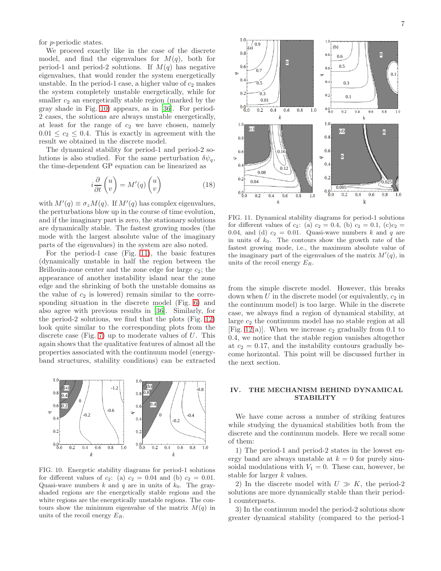for p-periodic states.

We proceed exactly like in the case of the discrete model, and find the eigenvalues for  $M(q)$ , both for period-1 and period-2 solutions. If  $M(q)$  has negative eigenvalues, that would render the system energetically unstable. In the period-1 case, a higher value of  $c_2$  makes the system completely unstable energetically, while for smaller  $c_2$  an energetically stable region (marked by the gray shade in Fig. [10\)](#page-6-1) appears, as in [\[36\]](#page-10-16). For period-2 cases, the solutions are always unstable energetically, at least for the range of  $c_2$  we have chosen, namely  $0.01 \leq c_2 \leq 0.4$ . This is exactly in agreement with the result we obtained in the discrete model.

The dynamical stability for period-1 and period-2 solutions is also studied. For the same perturbation  $\delta \psi_q$ , the time-dependent GP equation can be linearized as

$$
i\frac{\partial}{\partial t}\begin{pmatrix}u\\v\end{pmatrix} = M'(q)\begin{pmatrix}u\\v\end{pmatrix} \tag{18}
$$

with  $M'(q) \equiv \sigma_z M(q)$ . If  $M'(q)$  has complex eigenvalues, the perturbations blow up in the course of time evolution, and if the imaginary part is zero, the stationary solutions are dynamically stable. The fastest growing modes (the mode with the largest absolute value of the imaginary parts of the eigenvalues) in the system are also noted.

For the period-1 case (Fig. [11\)](#page-6-2), the basic features (dynamically unstable in half the region between the Brillouin-zone center and the zone edge for large  $c_2$ ; the appearance of another instability island near the zone edge and the shrinking of both the unstable domains as the value of  $c_2$  is lowered) remain similar to the corresponding situation in the discrete model (Fig. [6\)](#page-4-0) and also agree with previous results in [\[36\]](#page-10-16). Similarly, for the period-2 solutions, we find that the plots (Fig. [12\)](#page-7-0) look quite similar to the corresponding plots from the discrete case (Fig. [7\)](#page-4-1) up to moderate values of  $U$ . This again shows that the qualitative features of almost all the properties associated with the continuum model (energyband structures, stability conditions) can be extracted



<span id="page-6-1"></span>FIG. 10. Energetic stability diagrams for period-1 solutions for different values of  $c_2$ : (a)  $c_2 = 0.04$  and (b)  $c_2 = 0.01$ . Quasi-wave numbers k and q are in units of  $k_0$ . The grayshaded regions are the energetically stable regions and the white regions are the energetically unstable regions. The contours show the minimum eigenvalue of the matrix  $M(q)$  in units of the recoil energy  $E_R$ .



<span id="page-6-2"></span>FIG. 11. Dynamical stability diagrams for period-1 solutions for different values of  $c_2$ : (a)  $c_2 = 0.4$ , (b)  $c_2 = 0.1$ , (c) $c_2 =$ 0.04, and (d)  $c_2 = 0.01$ . Quasi-wave numbers k and q are in units of  $k_0$ . The contours show the growth rate of the fastest growing mode, i.e., the maximum absolute value of the imaginary part of the eigenvalues of the matrix  $M'(q)$ , in units of the recoil energy  $E_R$ .

from the simple discrete model. However, this breaks down when  $U$  in the discrete model (or equivalently,  $c_2$  in the continuum model) is too large. While in the discrete case, we always find a region of dynamical stability, at large  $c_2$  the continuum model has no stable region at all [Fig. [12\(](#page-7-0)a)]. When we increase  $c_2$  gradually from 0.1 to 0.4, we notice that the stable region vanishes altogether at  $c_2 = 0.17$ , and the instability contours gradually become horizontal. This point will be discussed further in the next section.

### <span id="page-6-0"></span>IV. THE MECHANISM BEHIND DYNAMICAL STABILITY

We have come across a number of striking features while studying the dynamical stabilities both from the discrete and the continuum models. Here we recall some of them:

1) The period-1 and period-2 states in the lowest energy band are always unstable at  $k = 0$  for purely sinusoidal modulations with  $V_1 = 0$ . These can, however, be stable for larger k values.

2) In the discrete model with  $U \gg K$ , the period-2 solutions are more dynamically stable than their period-1 counterparts.

3) In the continuum model the period-2 solutions show greater dynamical stability (compared to the period-1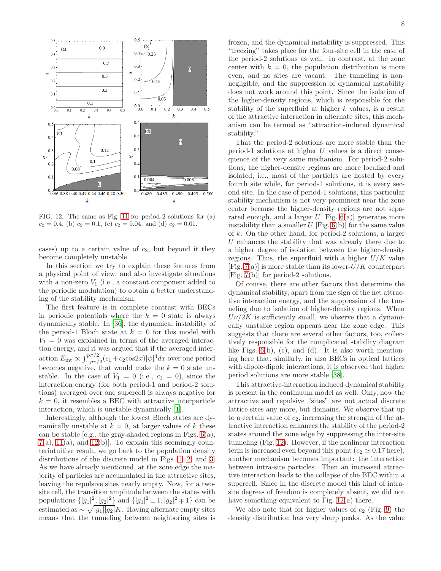

<span id="page-7-0"></span>FIG. 12. The same as Fig. [11](#page-6-2) for period-2 solutions for (a)  $c_2 = 0.4$ , (b)  $c_2 = 0.1$ , (c)  $c_2 = 0.04$ , and (d)  $c_2 = 0.01$ .

cases) up to a certain value of  $c_2$ , but beyond it they become completely unstable.

In this section we try to explain these features from a physical point of view, and also investigate situations with a non-zero  $V_1$  (i.e., a constant component added to the periodic modulation) to obtain a better understanding of the stability mechanism.

The first feature is in complete contrast with BECs in periodic potentials where the  $k = 0$  state is always dynamically stable. In [\[36](#page-10-16)], the dynamical instability of the period-1 Bloch state at  $k = 0$  for this model with  $V_1 = 0$  was explained in terms of the averaged interaction energy, and it was argued that if the averaged interaction  $E_{\text{int}} \propto \int_{-p\pi/2}^{p\pi/2} (c_1 + c_2 \cos 2x)|\psi|^4 dx$  over one period becomes negative, that would make the  $k = 0$  state unstable. In the case of  $V_1 = 0$  (i.e.,  $c_1 = 0$ ), since the interaction energy (for both period-1 and period-2 solutions) averaged over one supercell is always negative for  $k = 0$ , it resembles a BEC with attractive interparticle interaction, which is unstable dynamically [\[1\]](#page-9-0).

Interestingly, although the lowest Bloch states are dynamically unstable at  $k = 0$ , at larger values of k these can be stable [e.g., the gray-shaded regions in Figs. [6\(](#page-4-0)a),  $7(a)$  $7(a)$ ,  $11(a)$ , and  $12(b)$ . To explain this seemingly counterintuitive result, we go back to the population density distributions of the discrete model in Figs. [1,](#page-1-2) [2,](#page-2-0) and [3.](#page-2-1) As we have already mentioned, at the zone edge the majority of particles are accumulated in the attractive sites, leaving the repulsive sites nearly empty. Now, for a twosite cell, the transition amplitude between the states with populations  $\{|g_1|^2, |g_2|^2\}$  and  $\{|g_1|^2 \pm 1, |g_2|^2 \mp 1\}$  can be estimated as  $\sim \sqrt{|g_1||g_2|}K$ . Having alternate empty sites means that the tunneling between neighboring sites is

frozen, and the dynamical instability is suppressed. This "freezing" takes place for the four-site cell in the case of the period-2 solutions as well. In contrast, at the zone center with  $k = 0$ , the population distribution is more even, and no sites are vacant. The tunneling is nonnegligible, and the suppression of dynamical instability does not work around this point. Since the isolation of the higher-density regions, which is responsible for the stability of the superfluid at higher k values, is a result of the attractive interaction in alternate sites, this mechanism can be termed as "attraction-induced dynamical stability."

That the period-2 solutions are more stable than the period-1 solutions at higher  $U$  values is a direct consequence of the very same mechanism. For period-2 solutions, the higher-density regions are more localized and isolated, i.e., most of the particles are hosted by every fourth site while, for period-1 solutions, it is every second site. In the case of period-1 solutions, this particular stability mechanism is not very prominent near the zone center because the higher-density regions are not separated enough, and a larger  $U$  [Fig. [6\(](#page-4-0)a)] generates more instability than a smaller  $U$  [Fig. [6\(](#page-4-0)b)] for the same value of k. On the other hand, for period-2 solutions, a larger U enhances the stability that was already there due to a higher degree of isolation between the higher-density regions. Thus, the superfluid with a higher  $U/K$  value [Fig.  $7(a)$ ] is more stable than its lower- $U/K$  counterpart [Fig. [7\(](#page-4-1)b)] for period-2 solutions.

Of course, there are other factors that determine the dynamical stability, apart from the sign of the net attractive interaction energy, and the suppression of the tunneling due to isolation of higher-density regions. When  $U\nu/2K$  is sufficiently small, we observe that a dynamically unstable region appears near the zone edge. This suggests that there are several other factors, too, collectively responsible for the complicated stability diagram like Figs.  $6(b)$ , (c), and (d). It is also worth mentioning here that, similarly, in also BECs in optical lattices with dipole-dipole interactions, it is observed that higher period solutions are more stable [\[38\]](#page-10-18).

This attractive-interaction induced dynamical stability is present in the continuum model as well. Only, now the attractive and repulsive "sites" are not actual discrete lattice sites any more, but domains. We observe that up to a certain value of  $c_2$ , increasing the strength of the attractive interaction enhances the stability of the period-2 states around the zone edge by suppressing the inter-site tunneling (Fig. [12\)](#page-7-0). However, if the nonlinear interaction term is increased even beyond this point ( $c_2 \simeq 0.17$  here), another mechanism becomes important: the interaction between intra-site particles. Then an increased attractive interaction leads to the collapse of the BEC within a supercell. Since in the discrete model this kind of intrasite degrees of freedom is completely absent, we did not have something equivalent to Fig. [12\(](#page-7-0)a) there.

We also note that for higher values of  $c_2$  (Fig. [9\)](#page-5-2) the density distribution has very sharp peaks. As the value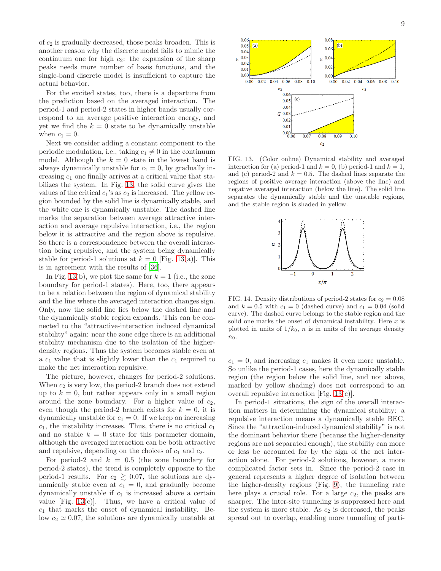of  $c_2$  is gradually decreased, those peaks broaden. This is another reason why the discrete model fails to mimic the continuum one for high  $c_2$ : the expansion of the sharp peaks needs more number of basis functions, and the single-band discrete model is insufficient to capture the actual behavior.

For the excited states, too, there is a departure from the prediction based on the averaged interaction. The period-1 and period-2 states in higher bands usually correspond to an average positive interaction energy, and yet we find the  $k = 0$  state to be dynamically unstable when  $c_1 = 0$ .

Next we consider adding a constant component to the periodic modulation, i.e., taking  $c_1 \neq 0$  in the continuum model. Although the  $k = 0$  state in the lowest band is always dynamically unstable for  $c_1 = 0$ , by gradually increasing  $c_1$  one finally arrives at a critical value that stabilizes the system. In Fig. [13,](#page-8-0) the solid curve gives the values of the critical  $c_1$ 's as  $c_2$  is increased. The yellow region bounded by the solid line is dynamically stable, and the white one is dynamically unstable. The dashed line marks the separation between average attractive interaction and average repulsive interaction, i.e., the region below it is attractive and the region above is repulsive. So there is a correspondence between the overall interaction being repulsive, and the system being dynamically stable for period-1 solutions at  $k = 0$  [Fig. [13\(](#page-8-0)a)]. This is in agreement with the results of [\[36](#page-10-16)].

In Fig. [13\(](#page-8-0)b), we plot the same for  $k = 1$  (i.e., the zone boundary for period-1 states). Here, too, there appears to be a relation between the region of dynamical stability and the line where the averaged interaction changes sign. Only, now the solid line lies below the dashed line and the dynamically stable region expands. This can be connected to the "attractive-interaction induced dynamical stability" again: near the zone edge there is an additional stability mechanism due to the isolation of the higherdensity regions. Thus the system becomes stable even at a  $c_1$  value that is slightly lower than the  $c_1$  required to make the net interaction repulsive.

The picture, however, changes for period-2 solutions. When  $c_2$  is very low, the period-2 branch does not extend up to  $k = 0$ , but rather appears only in a small region around the zone boundary. For a higher value of  $c_2$ , even though the period-2 branch exists for  $k = 0$ , it is dynamically unstable for  $c_1 = 0$ . If we keep on increasing  $c_1$ , the instability increases. Thus, there is no critical  $c_1$ and no stable  $k = 0$  state for this parameter domain, although the averaged interaction can be both attractive and repulsive, depending on the choices of  $c_1$  and  $c_2$ .

For period-2 and  $k = 0.5$  (the zone boundary for period-2 states), the trend is completely opposite to the period-1 results. For  $c_2 \geq 0.07$ , the solutions are dynamically stable even at  $c_1 = 0$ , and gradually become dynamically unstable if  $c_1$  is increased above a certain value [Fig.  $13(c)$ ]. Thus, we have a critical value of  $c_1$  that marks the onset of dynamical instability. Below  $c_2 \simeq 0.07$ , the solutions are dynamically unstable at



<span id="page-8-0"></span>FIG. 13. (Color online) Dynamical stability and averaged interaction for (a) period-1 and  $k = 0$ , (b) period-1 and  $k = 1$ , and (c) period-2 and  $k = 0.5$ . The dashed lines separate the regions of positive average interaction (above the line) and negative averaged interaction (below the line). The solid line separates the dynamically stable and the unstable regions, and the stable region is shaded in yellow.



<span id="page-8-1"></span>FIG. 14. Density distributions of period-2 states for  $c_2 = 0.08$ and  $k = 0.5$  with  $c_1 = 0$  (dashed curve) and  $c_1 = 0.04$  (solid curve). The dashed curve belongs to the stable region and the solid one marks the onset of dynamical instability. Here  $x$  is plotted in units of  $1/k_0$ , *n* is in units of the average density  $n_0$ .

 $c_1 = 0$ , and increasing  $c_1$  makes it even more unstable. So unlike the period-1 cases, here the dynamically stable region (the region below the solid line, and not above, marked by yellow shading) does not correspond to an overall repulsive interaction [Fig. [13\(](#page-8-0)c)].

In period-1 situations, the sign of the overall interaction matters in determining the dynamical stability: a repulsive interaction means a dynamically stable BEC. Since the "attraction-induced dynamical stability" is not the dominant behavior there (because the higher-density regions are not separated enough), the stability can more or less be accounted for by the sign of the net interaction alone. For period-2 solutions, however, a more complicated factor sets in. Since the period-2 case in general represents a higher degree of isolation between the higher-density regions (Fig. [9\)](#page-5-2), the tunneling rate here plays a crucial role. For a large  $c_2$ , the peaks are sharper. The inter-site tunneling is suppressed here and the system is more stable. As  $c_2$  is decreased, the peaks spread out to overlap, enabling more tunneling of parti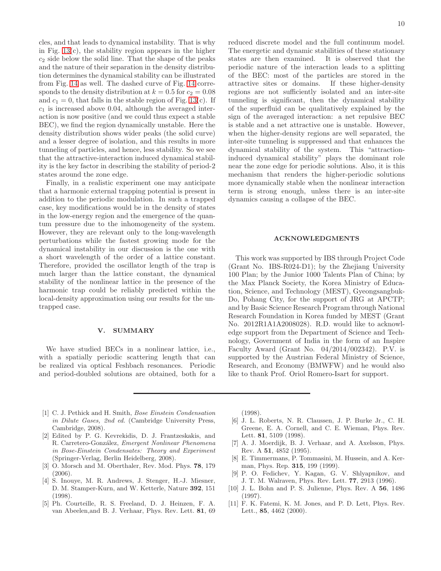cles, and that leads to dynamical instability. That is why in Fig.  $13(c)$ , the stability region appears in the higher  $c_2$  side below the solid line. That the shape of the peaks and the nature of their separation in the density distribution determines the dynamical stability can be illustrated from Fig. [14](#page-8-1) as well. The dashed curve of Fig. [14](#page-8-1) corresponds to the density distribution at  $k = 0.5$  for  $c_2 = 0.08$ and  $c_1 = 0$ , that falls in the stable region of Fig. [13\(](#page-8-0)c). If  $c_1$  is increased above 0.04, although the averaged interaction is now positive (and we could thus expect a stable BEC), we find the region dynamically unstable. Here the density distribution shows wider peaks (the solid curve) and a lesser degree of isolation, and this results in more tunneling of particles, and hence, less stability. So we see that the attractive-interaction induced dynamical stability is the key factor in describing the stability of period-2 states around the zone edge.

Finally, in a realistic experiment one may anticipate that a harmonic external trapping potential is present in addition to the periodic modulation. In such a trapped case, key modifications would be in the density of states in the low-energy region and the emergence of the quantum pressure due to the inhomogeneity of the system. However, they are relevant only to the long-wavelength perturbations while the fastest growing mode for the dynamical instability in our discussion is the one with a short wavelength of the order of a lattice constant. Therefore, provided the oscillator length of the trap is much larger than the lattice constant, the dynamical stability of the nonlinear lattice in the presence of the harmonic trap could be reliably predicted within the local-density approximation using our results for the untrapped case.

#### <span id="page-9-5"></span>V. SUMMARY

We have studied BECs in a nonlinear lattice, i.e., with a spatially periodic scattering length that can be realized via optical Feshbach resonances. Periodic and period-doubled solutions are obtained, both for a

reduced discrete model and the full continuum model. The energetic and dynamic stabilities of these stationary states are then examined. It is observed that the periodic nature of the interaction leads to a splitting of the BEC: most of the particles are stored in the attractive sites or domains. If these higher-density regions are not sufficiently isolated and an inter-site tunneling is significant, then the dynamical stability of the superfluid can be qualitatively explained by the sign of the averaged interaction: a net repulsive BEC is stable and a net attractive one is unstable. However, when the higher-density regions are well separated, the inter-site tunneling is suppressed and that enhances the dynamical stability of the system. This "attractioninduced dynamical stability" plays the dominant role near the zone edge for periodic solutions. Also, it is this mechanism that renders the higher-periodic solutions more dynamically stable when the nonlinear interaction term is strong enough, unless there is an inter-site dynamics causing a collapse of the BEC.

## ACKNOWLEDGMENTS

This work was supported by IBS through Project Code (Grant No. IBS-R024-D1); by the Zhejiang University 100 Plan; by the Junior 1000 Talents Plan of China; by the Max Planck Society, the Korea Ministry of Education, Science, and Technology (MEST), Gyeongsangbuk-Do, Pohang City, for the support of JRG at APCTP; and by Basic Science Research Program through National Research Foundation in Korea funded by MEST (Grant No. 2012R1A1A2008028). R.D. would like to acknowledge support from the Department of Science and Technology, Government of India in the form of an Inspire Faculty Award (Grant No. 04/2014/002342). P.V. is supported by the Austrian Federal Ministry of Science, Research, and Economy (BMWFW) and he would also like to thank Prof. Oriol Romero-Isart for support.

- <span id="page-9-0"></span>[1] C. J. Pethick and H. Smith, *Bose Einstein Condensation in Dilute Gases, 2nd ed.* (Cambridge University Press, Cambridge, 2008).
- [2] Edited by P. G. Kevrekidis, D. J. Frantzeskakis, and R. Carretero-Gonz´alez, *Emergent Nonlinear Phenomena in Bose-Einstein Condensates: Theory and Experiment* (Springer-Verlag, Berlin Heidelberg, 2008).
- <span id="page-9-1"></span>[3] O. Morsch and M. Oberthaler, Rev. Mod. Phys. **78**, 179 (2006).
- <span id="page-9-2"></span>[4] S. Inouye, M. R. Andrews, J. Stenger, H.-J. Miesner, D. M. Stamper-Kurn, and W. Ketterle, Nature 392, 151 (1998).
- [5] Ph. Courteille, R. S. Freeland, D. J. Heinzen, F. A. van Abeelen,and B. J. Verhaar, Phys. Rev. Lett. 81, 69

(1998).

- [6] J. L. Roberts, N. R. Claussen, J. P. Burke Jr., C. H. Greene, E. A. Cornell, and C. E. Wieman, Phys. Rev. Lett. 81, 5109 (1998).
- [7] A. J. Moerdijk, B. J. Verhaar, and A. Axelsson, Phys. Rev. A 51, 4852 (1995).
- <span id="page-9-3"></span>[8] E. Timmermans, P. Tommasini, M. Hussein, and A. Kerman, Phys. Rep. 315, 199 (1999).
- <span id="page-9-4"></span>[9] P. O. Fedichev, Y. Kagan, G. V. Shlyapnikov, and J. T. M. Walraven, Phys. Rev. Lett. 77, 2913 (1996).
- [10] J. L. Bohn and P. S. Julienne, Phys. Rev. A 56, 1486 (1997).
- [11] F. K. Fatemi, K. M. Jones, and P. D. Lett, Phys. Rev. Lett., 85, 4462 (2000).